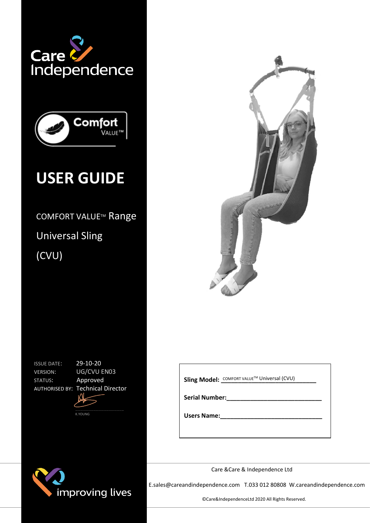



# **USER GUIDE**

COMFORT VALUE™ Range Universal Sling (CVU)



ISSUE DATE: 29-10-20 STATUS: Approved

VERSION: UG/CVU EN03 AUTHORISED BY: Technical Director





**Sling Model:** COMFORT VALUE™ Universal (CVU)

**Serial Number:\_\_\_\_\_\_\_\_\_\_\_\_\_\_\_\_\_\_\_\_\_\_\_\_\_\_\_\_**

**Users Name:** 

Care &Care & Independence Ltd

E.sales@careandindependence.com T.033 012 80808 W.careandindependence.com in the strategy of the strategy of the strategy of the strategy of the strategy of the strategy of the strategy of the strategy of the strategy of t

©Care&IndependenceLtd 2020 All Rights Reserved.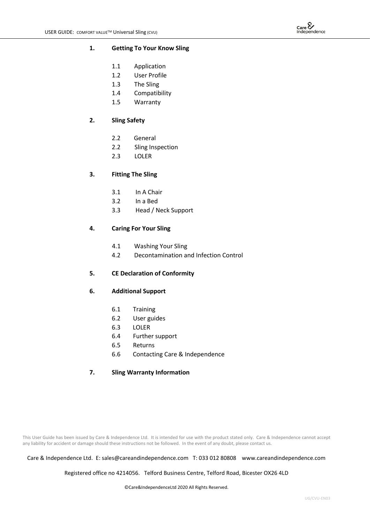

#### **1. Getting To Your Know Sling**

- 1.1 Application
- 1.2 User Profile
- 1.3 The Sling
- 1.4 Compatibility
- 1.5 Warranty

## **2. Sling Safety**

- 2.2 General
- 2.2 Sling Inspection
- 2.3 LOLER

## **3. Fitting The Sling**

- 3.1 In A Chair
- 3.2 In a Bed
- 3.3 Head / Neck Support

#### **4. Caring For Your Sling**

- 4.1 Washing Your Sling
- 4.2 Decontamination and Infection Control

#### **5. CE Declaration of Conformity**

#### **6. Additional Support**

- 6.1 Training
- 6.2 User guides
- 6.3 LOLER
- 6.4 Further support
- 6.5 Returns
- 6.6 Contacting Care & Independence

## **7. Sling Warranty Information**

This User Guide has been issued by Care & Independence Ltd. It is intended for use with the product stated only. Care & Independence cannot accept any liability for accident or damage should these instructions not be followed. In the event of any doubt, please contact us.

#### Care & Independence Ltd. E: sales@careandindependence.com T: 033 012 80808 www.careandindependence.com

Registered office no 4214056. Telford Business Centre, Telford Road, Bicester OX26 4LD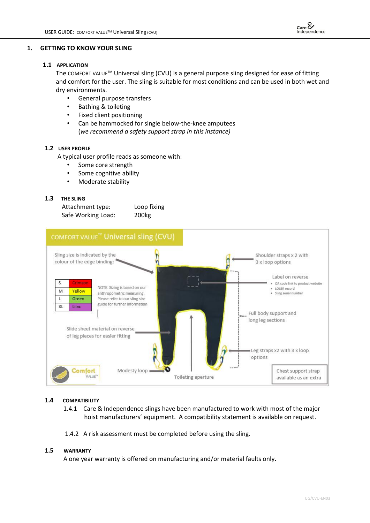

## **1. GETTING TO KNOW YOUR SLING**

## **1.1 APPLICATION**

The COMFORT VALUE™ Universal sling (CVU) is a general purpose sling designed for ease of fitting and comfort for the user. The sling is suitable for most conditions and can be used in both wet and dry environments.

- General purpose transfers
- Bathing & toileting
- Fixed client positioning
- Can be hammocked for single below-the-knee amputees (*we recommend a safety support strap in this instance)*

## **1.2 USER PROFILE**

A typical user profile reads as someone with:

- Some core strength
- Some cognitive ability
- Moderate stability

## **1.3 THE SLING**

| Attachment type:   | Loop fixing       |
|--------------------|-------------------|
| Safe Working Load: | 200 <sub>kg</sub> |



#### **1.4 COMPATIBILITY**

- 1.4.1 Care & Independence slings have been manufactured to work with most of the major hoist manufacturers' equipment. A compatibility statement is available on request.
- 1.4.2 A risk assessment must be completed before using the sling.

#### **1.5 WARRANTY**

A one year warranty is offered on manufacturing and/or material faults only.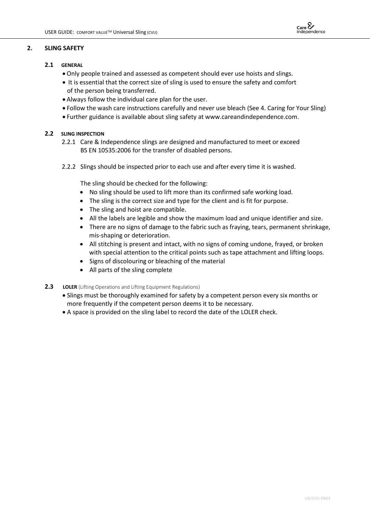## **2. SLING SAFETY**

- **2.1 GENERAL**
	- Only people trained and assessed as competent should ever use hoists and slings.
	- It is essential that the correct size of sling is used to ensure the safety and comfort of the person being transferred.
	- Always follow the individual care plan for the user.
	- Follow the wash care instructions carefully and never use bleach (See 4. Caring for Your Sling)
	- Further guidance is available about sling safety at [www.careandindependence.com.](http://www.careandindependence.com/)

## **2.2 SLING INSPECTION**

- 2.2.1 Care & Independence slings are designed and manufactured to meet or exceed BS EN 10535:2006 for the transfer of disabled persons.
- 2.2.2 Slings should be inspected prior to each use and after every time it is washed.

The sling should be checked for the following:

- No sling should be used to lift more than its confirmed safe working load.
- The sling is the correct size and type for the client and is fit for purpose.
- The sling and hoist are compatible.
- All the labels are legible and show the maximum load and unique identifier and size.
- There are no signs of damage to the fabric such as fraying, tears, permanent shrinkage, mis-shaping or deterioration.
- All stitching is present and intact, with no signs of coming undone, frayed, or broken with special attention to the critical points such as tape attachment and lifting loops.
- Signs of discolouring or bleaching of the material
- All parts of the sling complete
- **2.3 LOLER** (Lifting Operations and Lifting Equipment Regulations)
	- Slings must be thoroughly examined for safety by a competent person every six months or more frequently if the competent person deems it to be necessary.
	- A space is provided on the sling label to record the date of the LOLER check.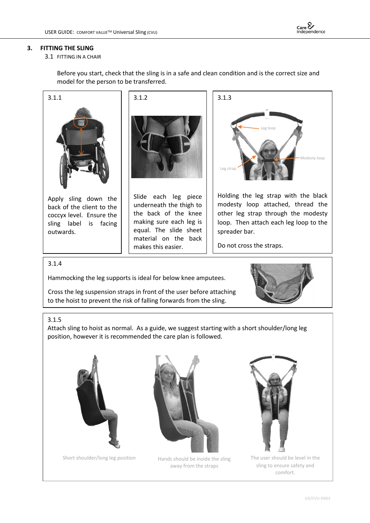

## **3. FITTING THE SLING**

#### 3.1 FITTING IN A CHAIR

Before you start, check that the sling is in a safe and clean condition and is the correct size and model for the person to be transferred.



Hammocking the leg supports is ideal for below knee amputees.

 Cross the leg suspension straps in front of the user before attaching to the hoist to prevent the risk of falling forwards from the sling.



#### 3.1.5

Attach sling to hoist as normal. As a guide, we suggest starting with a short shoulder/long leg position, however it is recommended the care plan is followed.



Short shoulder/long leg position



Hands should be inside the sling away from the straps



The user should be level in the sling to ensure safety and comfort.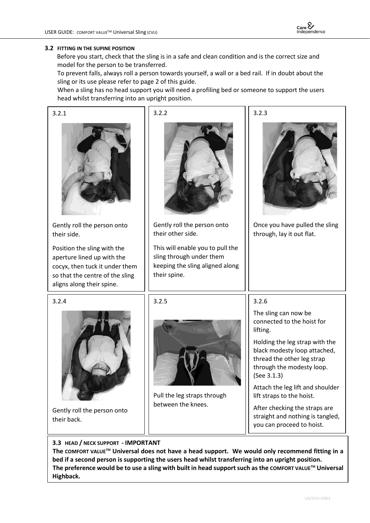

#### **3.2 FITTING IN THE SUPINE POSITION**

Before you start, check that the sling is in a safe and clean condition and is the correct size and model for the person to be transferred.

 To prevent falls, always roll a person towards yourself, a wall or a bed rail. If in doubt about the sling or its use please refer to page 2 of this guide.

 When a sling has no head support you will need a profiling bed or someone to support the users head whilst transferring into an upright position.

| 3.2.1                                                                                                                                                       | 3.2.2                                                                                                           | 3.2.3                                                                                                                                    |
|-------------------------------------------------------------------------------------------------------------------------------------------------------------|-----------------------------------------------------------------------------------------------------------------|------------------------------------------------------------------------------------------------------------------------------------------|
|                                                                                                                                                             |                                                                                                                 |                                                                                                                                          |
| Gently roll the person onto<br>their side.                                                                                                                  | Gently roll the person onto<br>their other side.                                                                | Once you have pulled the sling<br>through, lay it out flat.                                                                              |
| Position the sling with the<br>aperture lined up with the<br>cocyx, then tuck it under them<br>so that the centre of the sling<br>aligns along their spine. | This will enable you to pull the<br>sling through under them<br>keeping the sling aligned along<br>their spine. |                                                                                                                                          |
| 3.2.4                                                                                                                                                       | 3.2.5                                                                                                           | 3.2.6                                                                                                                                    |
|                                                                                                                                                             | Pull the leg straps through<br>between the knees.                                                               | The sling can now be<br>connected to the hoist for<br>lifting.                                                                           |
|                                                                                                                                                             |                                                                                                                 | Holding the leg strap with the<br>black modesty loop attached,<br>thread the other leg strap<br>through the modesty loop.<br>(See 3.1.3) |
|                                                                                                                                                             |                                                                                                                 | Attach the leg lift and shoulder<br>lift straps to the hoist.                                                                            |
| Gently roll the person onto<br>their back.                                                                                                                  |                                                                                                                 | After checking the straps are<br>straight and nothing is tangled,<br>you can proceed to hoist.                                           |

# **3.3 HEAD / NECK SUPPORT - IMPORTANT**

 **The COMFORT VALUETM Universal does not have a head support. We would only recommend fitting in a bed if a second person is supporting the users head whilst transferring into an upright position. The preference would be to use a sling with built in head support such as the COMFORT VALUETM Universal Highback.**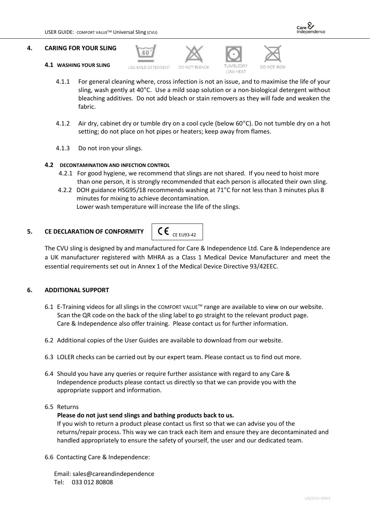

- **4.1 WASHING YOUR SLING**
- USE MILD DETERGENT

40







- LOW HEAT
- 4.1.1 For general cleaning where, cross infection is not an issue, and to maximise the life of your sling, wash gently at 40°C. Use a mild soap solution or a non-biological detergent without bleaching additives. Do not add bleach or stain removers as they will fade and weaken the fabric.
- 4.1.2 Air dry, cabinet dry or tumble dry on a cool cycle (below 60°C). Do not tumble dry on a hot setting; do not place on hot pipes or heaters; keep away from flames.
- 4.1.3 Do not iron your slings.

## **4.2 DECONTAMINATION AND INFECTION CONTROL**

- 4.2.1 For good hygiene, we recommend that slings are not shared. If you need to hoist more than one person, it is strongly recommended that each person is allocated their own sling.
- 4.2.2 DOH guidance HSG95/18 recommends washing at 71°C for not less than 3 minutes plus 8 minutes for mixing to achieve decontamination. Lower wash temperature will increase the life of the slings.

## **5. CE DECLARATION OF CONFORMITY**



The CVU sling is designed by and manufactured for Care & Independence Ltd. Care & Independence are a UK manufacturer registered with MHRA as a Class 1 Medical Device Manufacturer and meet the essential requirements set out in Annex 1 of the Medical Device Directive 93/42EEC.

# **6. ADDITIONAL SUPPORT**

- 6.1 E-Training videos for all slings in the COMFORT VALUETM range are available to view on our website. Scan the QR code on the back of the sling label to go straight to the relevant product page. Care & Independence also offer training. Please contact us for further information.
- 6.2 Additional copies of the User Guides are available to download from our website.
- 6.3 LOLER checks can be carried out by our expert team. Please contact us to find out more.
- 6.4 Should you have any queries or require further assistance with regard to any Care & Independence products please contact us directly so that we can provide you with the appropriate support and information.

## 6.5 Returns

## **Please do not just send slings and bathing products back to us.**

If you wish to return a product please contact us first so that we can advise you of the returns/repair process. This way we can track each item and ensure they are decontaminated and handled appropriately to ensure the safety of yourself, the user and our dedicated team.

6.6 Contacting Care & Independence:

 Email: sales@careandindependence Tel: 033 012 80808